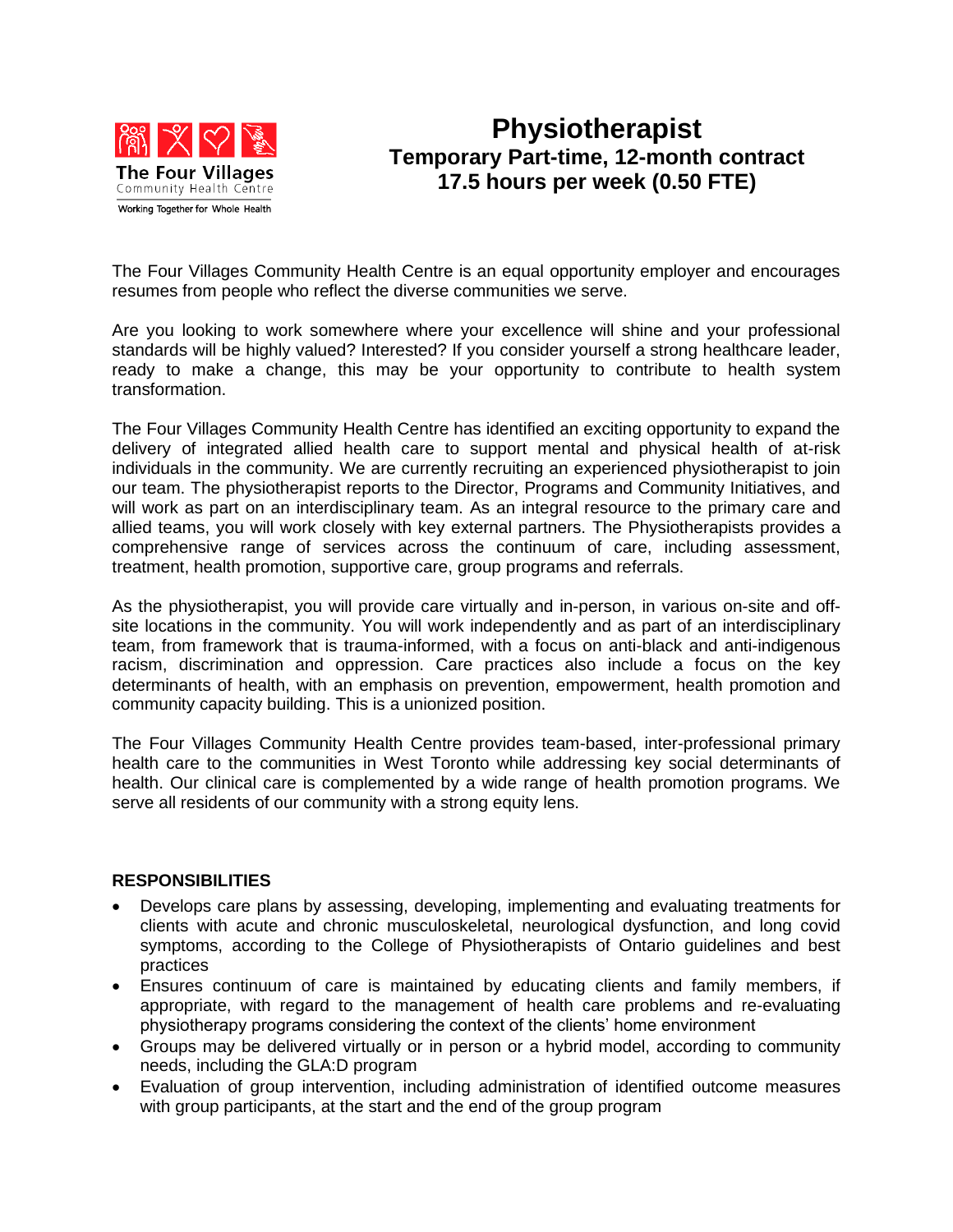

# **Physiotherapist Temporary Part-time, 12-month contract 17.5 hours per week (0.50 FTE)**

The Four Villages Community Health Centre is an equal opportunity employer and encourages resumes from people who reflect the diverse communities we serve.

Are you looking to work somewhere where your excellence will shine and your professional standards will be highly valued? Interested? If you consider yourself a strong healthcare leader, ready to make a change, this may be your opportunity to contribute to health system transformation.

The Four Villages Community Health Centre has identified an exciting opportunity to expand the delivery of integrated allied health care to support mental and physical health of at-risk individuals in the community. We are currently recruiting an experienced physiotherapist to join our team. The physiotherapist reports to the Director, Programs and Community Initiatives, and will work as part on an interdisciplinary team. As an integral resource to the primary care and allied teams, you will work closely with key external partners. The Physiotherapists provides a comprehensive range of services across the continuum of care, including assessment, treatment, health promotion, supportive care, group programs and referrals.

As the physiotherapist, you will provide care virtually and in-person, in various on-site and offsite locations in the community. You will work independently and as part of an interdisciplinary team, from framework that is trauma-informed, with a focus on anti-black and anti-indigenous racism, discrimination and oppression. Care practices also include a focus on the key determinants of health, with an emphasis on prevention, empowerment, health promotion and community capacity building. This is a unionized position.

The Four Villages Community Health Centre provides team-based, inter-professional primary health care to the communities in West Toronto while addressing key social determinants of health. Our clinical care is complemented by a wide range of health promotion programs. We serve all residents of our community with a strong equity lens.

## **RESPONSIBILITIES**

- Develops care plans by assessing, developing, implementing and evaluating treatments for clients with acute and chronic musculoskeletal, neurological dysfunction, and long covid symptoms, according to the College of Physiotherapists of Ontario guidelines and best practices
- Ensures continuum of care is maintained by educating clients and family members, if appropriate, with regard to the management of health care problems and re-evaluating physiotherapy programs considering the context of the clients' home environment
- Groups may be delivered virtually or in person or a hybrid model, according to community needs, including the GLA:D program
- Evaluation of group intervention, including administration of identified outcome measures with group participants, at the start and the end of the group program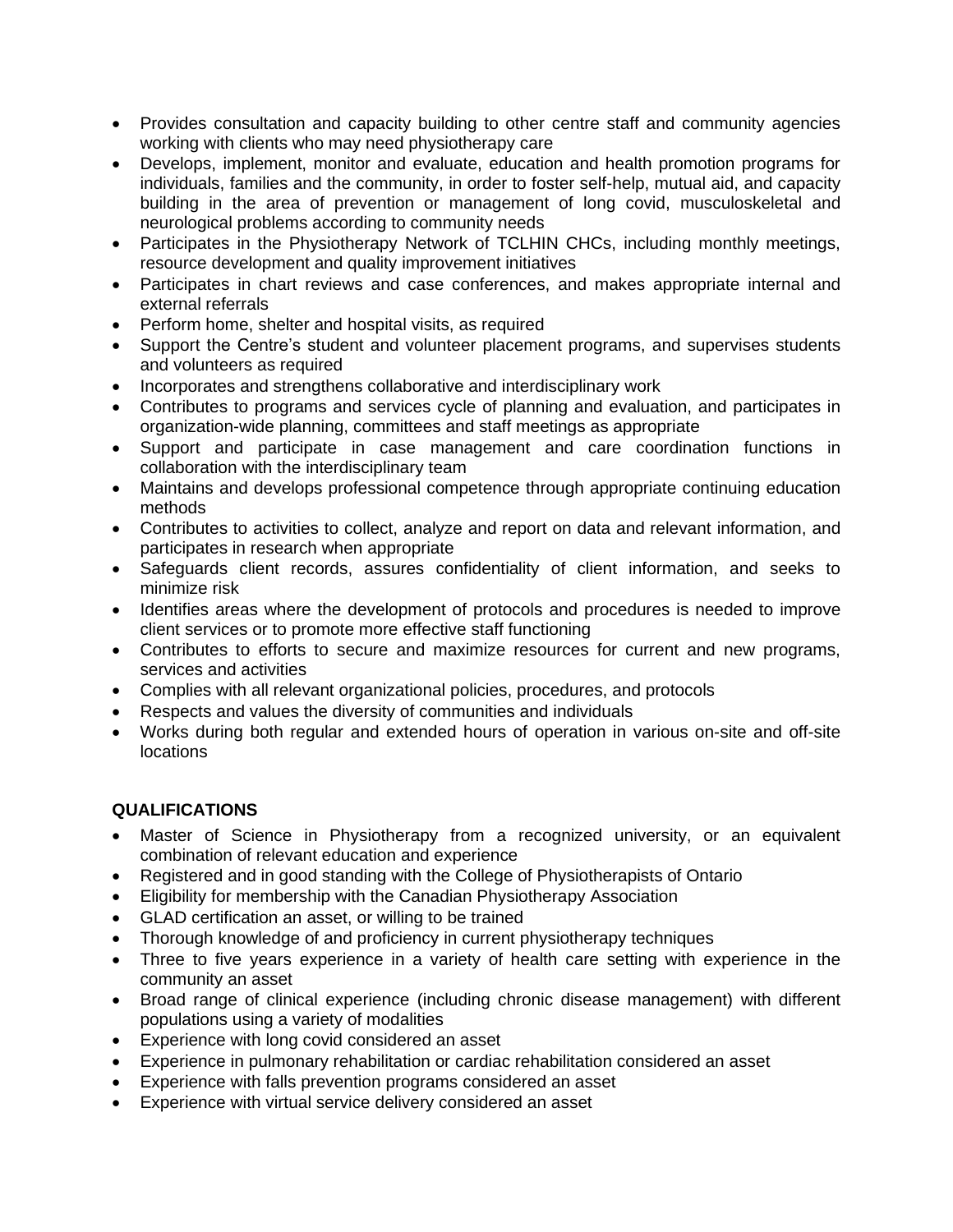- Provides consultation and capacity building to other centre staff and community agencies working with clients who may need physiotherapy care
- Develops, implement, monitor and evaluate, education and health promotion programs for individuals, families and the community, in order to foster self-help, mutual aid, and capacity building in the area of prevention or management of long covid, musculoskeletal and neurological problems according to community needs
- Participates in the Physiotherapy Network of TCLHIN CHCs, including monthly meetings, resource development and quality improvement initiatives
- Participates in chart reviews and case conferences, and makes appropriate internal and external referrals
- Perform home, shelter and hospital visits, as required
- Support the Centre's student and volunteer placement programs, and supervises students and volunteers as required
- Incorporates and strengthens collaborative and interdisciplinary work
- Contributes to programs and services cycle of planning and evaluation, and participates in organization-wide planning, committees and staff meetings as appropriate
- Support and participate in case management and care coordination functions in collaboration with the interdisciplinary team
- Maintains and develops professional competence through appropriate continuing education methods
- Contributes to activities to collect, analyze and report on data and relevant information, and participates in research when appropriate
- Safeguards client records, assures confidentiality of client information, and seeks to minimize risk
- Identifies areas where the development of protocols and procedures is needed to improve client services or to promote more effective staff functioning
- Contributes to efforts to secure and maximize resources for current and new programs, services and activities
- Complies with all relevant organizational policies, procedures, and protocols
- Respects and values the diversity of communities and individuals
- Works during both regular and extended hours of operation in various on-site and off-site locations

## **QUALIFICATIONS**

- Master of Science in Physiotherapy from a recognized university, or an equivalent combination of relevant education and experience
- Registered and in good standing with the College of Physiotherapists of Ontario
- Eligibility for membership with the Canadian Physiotherapy Association
- GLAD certification an asset, or willing to be trained
- Thorough knowledge of and proficiency in current physiotherapy techniques
- Three to five years experience in a variety of health care setting with experience in the community an asset
- Broad range of clinical experience (including chronic disease management) with different populations using a variety of modalities
- Experience with long covid considered an asset
- Experience in pulmonary rehabilitation or cardiac rehabilitation considered an asset
- Experience with falls prevention programs considered an asset
- Experience with virtual service delivery considered an asset